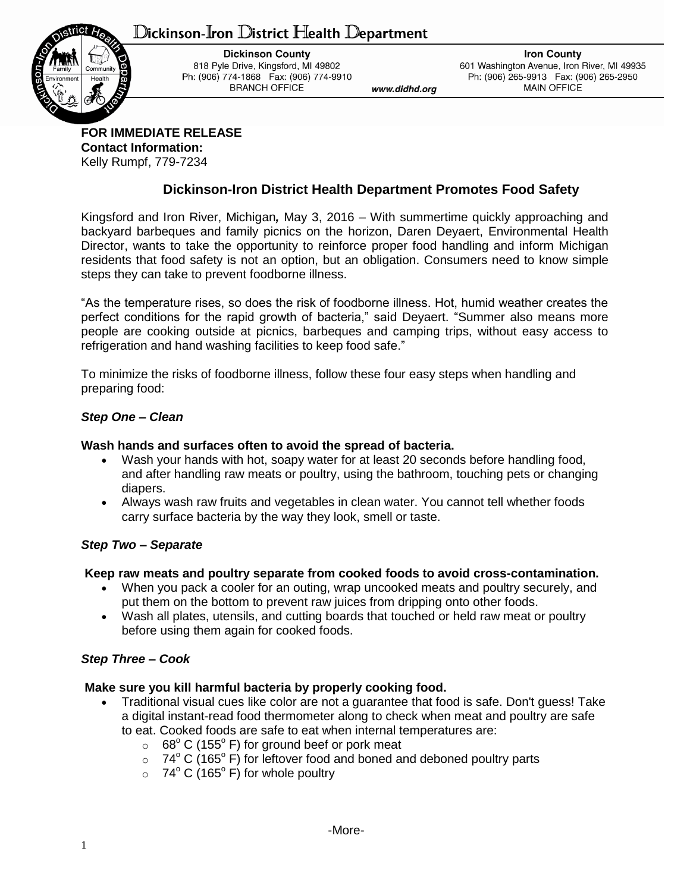# ${\mathbb D}$ ickinson-Iron  ${\mathbb D}$ istrict Health  ${\mathbb D}$ epartment



**Dickinson County** 818 Pyle Drive, Kingsford, MI 49802 Ph: (906) 774-1868 Fax: (906) 774-9910 **BRANCH OFFICE** 

**Iron County** 601 Washington Avenue, Iron River, MI 49935 Ph: (906) 265-9913 Fax: (906) 265-2950 **MAIN OFFICE** 

**FOR IMMEDIATE RELEASE Contact Information:** Kelly Rumpf, 779-7234

## **Dickinson-Iron District Health Department Promotes Food Safety**

www.didhd.org

Kingsford and Iron River, Michigan*,* May 3, 2016 – With summertime quickly approaching and backyard barbeques and family picnics on the horizon, Daren Deyaert, Environmental Health Director, wants to take the opportunity to reinforce proper food handling and inform Michigan residents that food safety is not an option, but an obligation. Consumers need to know simple steps they can take to prevent foodborne illness.

"As the temperature rises, so does the risk of foodborne illness. Hot, humid weather creates the perfect conditions for the rapid growth of bacteria," said Deyaert. "Summer also means more people are cooking outside at picnics, barbeques and camping trips, without easy access to refrigeration and hand washing facilities to keep food safe."

To minimize the risks of foodborne illness, follow these four easy steps when handling and preparing food:

### *Step One* **–** *Clean*

#### **Wash hands and surfaces often to avoid the spread of bacteria.**

- Wash your hands with hot, soapy water for at least 20 seconds before handling food, and after handling raw meats or poultry, using the bathroom, touching pets or changing diapers.
- Always wash raw fruits and vegetables in clean water. You cannot tell whether foods carry surface bacteria by the way they look, smell or taste.

### *Step Two – Separate*

#### **Keep raw meats and poultry separate from cooked foods to avoid cross-contamination.**

- When you pack a cooler for an outing, wrap uncooked meats and poultry securely, and put them on the bottom to prevent raw juices from dripping onto other foods.
- Wash all plates, utensils, and cutting boards that touched or held raw meat or poultry before using them again for cooked foods.

### *Step Three – Cook*

### **Make sure you kill harmful bacteria by properly cooking food.**

- Traditional visual cues like color are not a guarantee that food is safe. Don't guess! Take a digital instant-read food thermometer along to check when meat and poultry are safe to eat. Cooked foods are safe to eat when internal temperatures are:
	- $\circ$  68° C (155° F) for ground beef or pork meat
	- $\circ$  74° C (165° F) for leftover food and boned and deboned poultry parts
	- $\circ$  74° C (165° F) for whole poultry